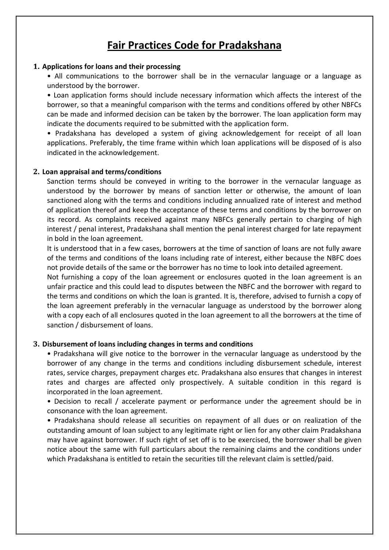# **Fair Practices Code for Pradakshana**

## **1. Applications for loans and their processing**

• All communications to the borrower shall be in the vernacular language or a language as understood by the borrower.

• Loan application forms should include necessary information which affects the interest of the borrower, so that a meaningful comparison with the terms and conditions offered by other NBFCs can be made and informed decision can be taken by the borrower. The loan application form may indicate the documents required to be submitted with the application form.

• Pradakshana has developed a system of giving acknowledgement for receipt of all loan applications. Preferably, the time frame within which loan applications will be disposed of is also indicated in the acknowledgement.

#### **2. Loan appraisal and terms/conditions**

Sanction terms should be conveyed in writing to the borrower in the vernacular language as understood by the borrower by means of sanction letter or otherwise, the amount of loan sanctioned along with the terms and conditions including annualized rate of interest and method of application thereof and keep the acceptance of these terms and conditions by the borrower on its record. As complaints received against many NBFCs generally pertain to charging of high interest / penal interest, Pradakshana shall mention the penal interest charged for late repayment in bold in the loan agreement.

It is understood that in a few cases, borrowers at the time of sanction of loans are not fully aware of the terms and conditions of the loans including rate of interest, either because the NBFC does not provide details of the same or the borrower has no time to look into detailed agreement.

Not furnishing a copy of the loan agreement or enclosures quoted in the loan agreement is an unfair practice and this could lead to disputes between the NBFC and the borrower with regard to the terms and conditions on which the loan is granted. It is, therefore, advised to furnish a copy of the loan agreement preferably in the vernacular language as understood by the borrower along with a copy each of all enclosures quoted in the loan agreement to all the borrowers at the time of sanction / disbursement of loans.

#### **3. Disbursement of loans including changes in terms and conditions**

• Pradakshana will give notice to the borrower in the vernacular language as understood by the borrower of any change in the terms and conditions including disbursement schedule, interest rates, service charges, prepayment charges etc. Pradakshana also ensures that changes in interest rates and charges are affected only prospectively. A suitable condition in this regard is incorporated in the loan agreement.

• Decision to recall / accelerate payment or performance under the agreement should be in consonance with the loan agreement.

• Pradakshana should release all securities on repayment of all dues or on realization of the outstanding amount of loan subject to any legitimate right or lien for any other claim Pradakshana may have against borrower. If such right of set off is to be exercised, the borrower shall be given notice about the same with full particulars about the remaining claims and the conditions under which Pradakshana is entitled to retain the securities till the relevant claim is settled/paid.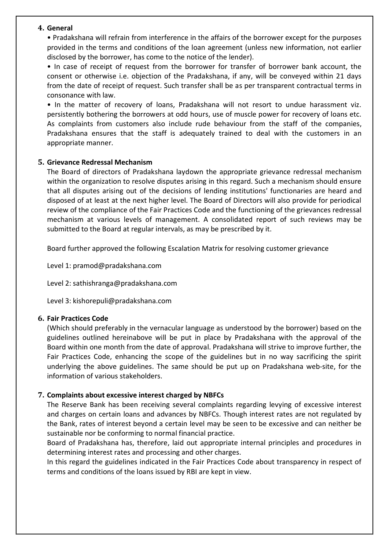## **4. General**

• Pradakshana will refrain from interference in the affairs of the borrower except for the purposes provided in the terms and conditions of the loan agreement (unless new information, not earlier disclosed by the borrower, has come to the notice of the lender).

• In case of receipt of request from the borrower for transfer of borrower bank account, the consent or otherwise i.e. objection of the Pradakshana, if any, will be conveyed within 21 days from the date of receipt of request. Such transfer shall be as per transparent contractual terms in consonance with law.

• In the matter of recovery of loans, Pradakshana will not resort to undue harassment viz. persistently bothering the borrowers at odd hours, use of muscle power for recovery of loans etc. As complaints from customers also include rude behaviour from the staff of the companies, Pradakshana ensures that the staff is adequately trained to deal with the customers in an appropriate manner.

## **5. Grievance Redressal Mechanism**

The Board of directors of Pradakshana laydown the appropriate grievance redressal mechanism within the organization to resolve disputes arising in this regard. Such a mechanism should ensure that all disputes arising out of the decisions of lending institutions' functionaries are heard and disposed of at least at the next higher level. The Board of Directors will also provide for periodical review of the compliance of the Fair Practices Code and the functioning of the grievances redressal mechanism at various levels of management. A consolidated report of such reviews may be submitted to the Board at regular intervals, as may be prescribed by it.

Board further approved the following Escalation Matrix for resolving customer grievance

Level 1: [pramod@pradakshana.com](mailto:pramod@pradakshana.com)

Level 2: [sathishranga@pradakshana.com](mailto:kiranchoppakatla@pradakshana.com)

Level 3: [kishorepuli@pradakshana.com](mailto:kishorepuli@pradakshana.com)

## **6. Fair Practices Code**

(Which should preferably in the vernacular language as understood by the borrower) based on the guidelines outlined hereinabove will be put in place by Pradakshana with the approval of the Board within one month from the date of approval. Pradakshana will strive to improve further, the Fair Practices Code, enhancing the scope of the guidelines but in no way sacrificing the spirit underlying the above guidelines. The same should be put up on Pradakshana web‐site, for the information of various stakeholders.

## **7. Complaints about excessive interest charged by NBFCs**

The Reserve Bank has been receiving several complaints regarding levying of excessive interest and charges on certain loans and advances by NBFCs. Though interest rates are not regulated by the Bank, rates of interest beyond a certain level may be seen to be excessive and can neither be sustainable nor be conforming to normal financial practice.

Board of Pradakshana has, therefore, laid out appropriate internal principles and procedures in determining interest rates and processing and other charges.

In this regard the guidelines indicated in the Fair Practices Code about transparency in respect of terms and conditions of the loans issued by RBI are kept in view.